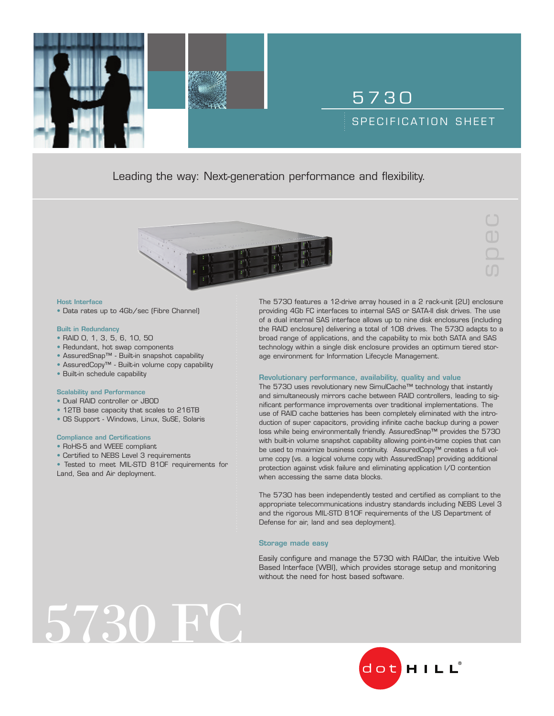### Leading the way: Next-generation performance and flexibility.



#### Host Interface

• Data rates up to 4Gb/sec (Fibre Channel)

### Built in Redundancy

- RAID 0, 1, 3, 5, 6, 10, 50
- Redundant, hot swap components
- AssuredSnap™ Built-in snapshot capability
- AssuredCopy™ Built-in volume copy capability
- Built-in schedule capability

### Scalability and Performance

- Dual RAID controller or JBOD
- 12TB base capacity that scales to 216TB
- OS Support Windows, Linux, SuSE, Solaris

### Compliance and Certifications

- RoHS-5 and WEEE compliant
- Certified to NEBS Level 3 requirements
- Tested to meet MIL-STD 810F requirements for Land, Sea and Air deployment.

The 5730 features a 12-drive array housed in a 2 rack-unit (2U) enclosure providing 4Gb FC interfaces to internal SAS or SATA-II disk drives. The use of a dual internal SAS interface allows up to nine disk enclosures (including the RAID enclosure) delivering a total of 108 drives. The 5730 adapts to a broad range of applications, and the capability to mix both SATA and SAS technology within a single disk enclosure provides an optimum tiered storage environment for Information Lifecycle Management.

5 7 3 0

SPECIFICATION SHEET

spec

### Revolutionary performance, availability, quality and value

The 5730 uses revolutionary new SimulCache™ technology that instantly and simultaneously mirrors cache between RAID controllers, leading to significant performance improvements over traditional implementations. The use of RAID cache batteries has been completely eliminated with the introduction of super capacitors, providing infinite cache backup during a power loss while being environmentally friendly. AssuredSnap™ provides the 5730 with built-in volume snapshot capability allowing point-in-time copies that can be used to maximize business continuity. AssuredCopy™ creates a full volume copy (vs. a logical volume copy with AssuredSnap) providing additional protection against vdisk failure and eliminating application I/O contention when accessing the same data blocks.

The 5730 has been independently tested and certified as compliant to the appropriate telecommunications industry standards including NEBS Level 3 and the rigorous MIL-STD 810F requirements of the US Department of Defense for air, land and sea deployment).

### Storage made easy

Easily configure and manage the 5730 with RAIDar, the intuitive Web Based Interface (WBI), which provides storage setup and monitoring without the need for host based software.